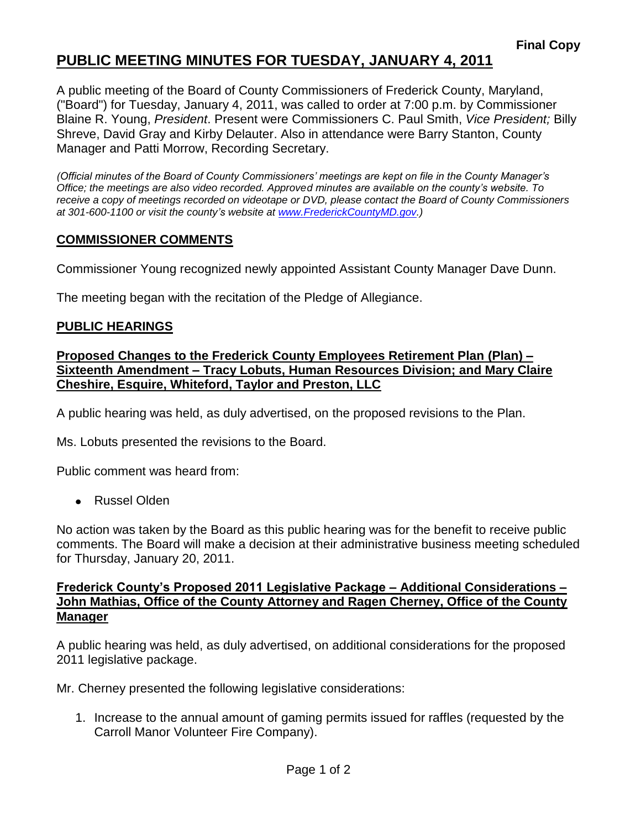# **PUBLIC MEETING MINUTES FOR TUESDAY, JANUARY 4, 2011**

A public meeting of the Board of County Commissioners of Frederick County, Maryland, ("Board") for Tuesday, January 4, 2011, was called to order at 7:00 p.m. by Commissioner Blaine R. Young, *President*. Present were Commissioners C. Paul Smith, *Vice President;* Billy Shreve, David Gray and Kirby Delauter. Also in attendance were Barry Stanton, County Manager and Patti Morrow, Recording Secretary.

*(Official minutes of the Board of County Commissioners' meetings are kept on file in the County Manager's Office; the meetings are also video recorded. Approved minutes are available on the county's website. To receive a copy of meetings recorded on videotape or DVD, please contact the Board of County Commissioners at 301-600-1100 or visit the county's website at [www.FrederickCountyMD.gov.](http://www.frederickcountymd.gov/))*

### **COMMISSIONER COMMENTS**

Commissioner Young recognized newly appointed Assistant County Manager Dave Dunn.

The meeting began with the recitation of the Pledge of Allegiance.

### **PUBLIC HEARINGS**

## **Proposed Changes to the Frederick County Employees Retirement Plan (Plan) – Sixteenth Amendment – Tracy Lobuts, Human Resources Division; and Mary Claire Cheshire, Esquire, Whiteford, Taylor and Preston, LLC**

A public hearing was held, as duly advertised, on the proposed revisions to the Plan.

Ms. Lobuts presented the revisions to the Board.

Public comment was heard from:

Russel Olden

No action was taken by the Board as this public hearing was for the benefit to receive public comments. The Board will make a decision at their administrative business meeting scheduled for Thursday, January 20, 2011.

### **Frederick County's Proposed 2011 Legislative Package – Additional Considerations – John Mathias, Office of the County Attorney and Ragen Cherney, Office of the County Manager**

A public hearing was held, as duly advertised, on additional considerations for the proposed 2011 legislative package.

Mr. Cherney presented the following legislative considerations:

1. Increase to the annual amount of gaming permits issued for raffles (requested by the Carroll Manor Volunteer Fire Company).